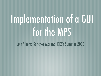# Implementation of a GUI for the MPS

Luis Alberto Sánchez Moreno, DESY Summer 2008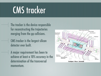#### CMS tracker

- $\parallel$  The tracker is the device responsible for reconstructing the trajectories merging from the pp collisions.
	- CMS tracker is the largest silicon detector ever built.
- A major requirement has been to achieve at least a 10% accuracy in the determination of the transversal momentum.

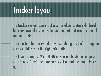#### Tracker layout

- The tracker system consists of a series of concentric cylindrical detectors located inside a solenoid magnet that create an axial magnetic field.
- The detectors form a cylinder by assembling a set of rectangular sub-assemblies with the right orientation.
	- The layout comprise 25,000 silicon sensors having a composite surface of 210 m<sup>2</sup>. The diameter is 2.4 m and the length is 5.4 m.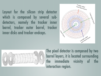Layout for the silicon strip detector which is composed by several subdetectors, namely the tracker inner barrel, tracker outer barrel, tracker inner disks and tracker endcaps.





The pixel detector is composed by two barrel layers, it is located surrounding the immediate vicinity of the interaction region.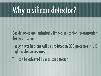### Why a silicon detector?

- Gas detectors are intrinsically limited in position reconstruction due to diffusion.
- Heavy flavor hadrons will be produced in QCD processes in LHC.  $\mathbf{H}$ High resolution required.
- This can be achieved by a silicon detector.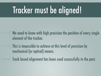### Tracker must be aligned!

- $\parallel$  We need to know with high precision the position of every single element of the tracker.
- $\dashv$  This is impossible to achieve at this level of precision by mechanical (or optical) means.
- Track based alignment has been used successfully in the past.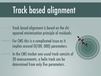### Track based alignment

- Track based alignment is based on the chi squared minimization principle of residuals.
- For CMS this is a complicated issue as it implies around O(100, 000) parameters.
	- In the CMS tracker one usual track consists of 20 measurements, a helix track can be determined from only five parameters .

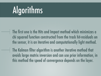### Algorithms

 $\dashv$  The first one is the Hits and Impact method which minimizes a chi squared function constructed from the track hit-residuals on the sensor, it is an iterative and computationally light method.

The Kalman filter algorithm is another iterative method that avoids large matrix inversion and can use prior information, in this method the speed of convergence depends on the layer.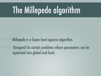## The Millepede algorithm

- Millepede is a linear least-squares algorithm. ╢
	- Designed for certain problems where parameters can be separated into global and local.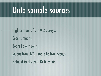#### Data sample sources

 $\mathsf{H}$  High pt muons from W, Z decays. Cosmic muons. Beam halo muons. Muons from J/Psi and b hadron decays. Isolated tracks from QCD events.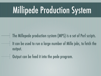### Millipede Production System

- The Millepede production system (MPS) is a set of Perl scripts.
- It can be used to run a large number of Mille jobs, to fetch the output.
	- Output can be feed it into the pede program.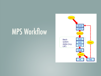#### MPS Workflow

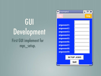**GUI** Development First GUI implement for mps\_setup.

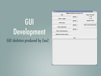#### GUI Development GUI skeleton produced by ZooZ

| $\blacktriangledown$ Project $1$ |                                     | $ \Box$ $\times$          |
|----------------------------------|-------------------------------------|---------------------------|
|                                  |                                     |                           |
|                                  | Millipede production enviroment GUI |                           |
| Path:                            |                                     | Setup a Pede job?         |
|                                  | <b>Browse</b>                       | Yes                       |
| Path to .cfg file:               |                                     | l≻ No                     |
|                                  | <b>Browse</b>                       | Number of jobs            |
| Path to data:                    |                                     |                           |
|                                  | <b>Browse</b>                       | Batch system queue/class: |
| Path to pedeScript:              |                                     |                           |
|                                  | <b>Browse</b>                       |                           |
| Path to castor directory:        |                                     |                           |
|                                  |                                     |                           |
| Jobname for batch system:        |                                     |                           |
|                                  |                                     |                           |
|                                  | Run                                 |                           |
|                                  |                                     |                           |
|                                  |                                     |                           |
|                                  |                                     |                           |
|                                  |                                     |                           |
|                                  |                                     |                           |
|                                  |                                     |                           |
|                                  |                                     |                           |
|                                  |                                     |                           |
|                                  |                                     |                           |
|                                  |                                     |                           |
|                                  |                                     |                           |
|                                  |                                     |                           |
|                                  |                                     |                           |
|                                  |                                     |                           |
|                                  |                                     |                           |
|                                  |                                     |                           |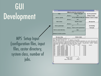#### **GUI** Development

MPS Setup Input (configuration files, input files, castor directory, system class, number of jobs.

| Mpedegui                                                                                                                                     |  |                               |                              |                                     |                     | $\Box$ $\times$                                                                  |
|----------------------------------------------------------------------------------------------------------------------------------------------|--|-------------------------------|------------------------------|-------------------------------------|---------------------|----------------------------------------------------------------------------------|
|                                                                                                                                              |  |                               |                              | Millipede production enviroment GUI |                     |                                                                                  |
| Path:                                                                                                                                        |  |                               |                              | Setup a Pede job?                   | mps fire parameters |                                                                                  |
|                                                                                                                                              |  | <b>Browse</b>                 |                              | <b>ves</b>                          |                     | nothing to merge                                                                 |
| Path to .cfg file:                                                                                                                           |  |                               |                              |                                     |                     | Set up additional Mille jobs? Numbers of jobs to merge:                          |
|                                                                                                                                              |  | <b>Browse</b>                 |                              | yes                                 | ī                   | l1                                                                               |
| Path to data:                                                                                                                                |  |                               |                              | Number of jobs:                     |                     | Run mps fire                                                                     |
|                                                                                                                                              |  | <b>Browse</b>                 |                              | 10                                  |                     |                                                                                  |
|                                                                                                                                              |  |                               |                              |                                     |                     |                                                                                  |
| Path to pedeScript:                                                                                                                          |  |                               | 10                           |                                     |                     | Job fetching                                                                     |
|                                                                                                                                              |  | <b>Browse</b>                 |                              | Batch system queue/class:           |                     | <b>Fetch jobs</b>                                                                |
| Path to castor directory:                                                                                                                    |  |                               |                              | 8 <sub>nm</sub>                     |                     |                                                                                  |
|                                                                                                                                              |  | 8nm                           |                              |                                     |                     |                                                                                  |
| Jobname for batch system:                                                                                                                    |  |                               |                              |                                     |                     |                                                                                  |
|                                                                                                                                              |  |                               |                              |                                     |                     |                                                                                  |
| Run mps setup                                                                                                                                |  |                               |                              | <b>Status of jobs</b>               |                     |                                                                                  |
|                                                                                                                                              |  |                               |                              |                                     |                     |                                                                                  |
| === mps database printout ===                                                                                                                |  |                               |                              |                                     |                     |                                                                                  |
|                                                                                                                                              |  |                               |                              |                                     |                     | Script /afs/cern.ch/user/s/sanchl/public/mpedequi/mpedequi.pl card /afs/cern.ch/ |
|                                                                                                                                              |  |                               |                              |                                     |                     | user/s/sanchl/public/mpedequi/perl tab.pl infi /afs/cern.ch/user/s/sanchl/public |
|                                                                                                                                              |  |                               |                              |                                     |                     | /mpedequi/mpedequi alpha.pl class 8nm files driver merqeScript mssDir update     |
| dir.                                                                                                                                         |  | jobid stat ntry rtime         |                              | nevt                                | time/evt            | remark                                                                           |
| job001 8540613 FAIL<br>job002 8550430 DONE                                                                                                   |  | 0<br>0                        | 0.<br>0                      | 0<br>$\mathbf{0}$                   | 0.000<br>0.000      |                                                                                  |
| job003 8550448 DONE                                                                                                                          |  | 0                             | 0                            | 0                                   | 0.000               |                                                                                  |
| job004 8555409 DONE                                                                                                                          |  | 0                             | 0                            | $\overline{0}$                      | 0.000               |                                                                                  |
| job005 0000000 SETUP                                                                                                                         |  | $\overline{0}$                | $\overline{0}$               | 0                                   | 0.000               |                                                                                  |
| 10b006 0000000 SETUP<br>$7$ ob007 0000000 SETUP                                                                                              |  | 0<br>0                        | $\theta$<br>$\boldsymbol{0}$ | $\overline{0}$<br>0                 | 0.000<br>0.000      |                                                                                  |
| 003<br>004<br>005<br>006<br>10b008 0000000 SETUP<br>008                                                                                      |  | 0                             | $\overline{0}$               | 0                                   | 0.000               |                                                                                  |
| $7$ ob009 00000000 SETUP                                                                                                                     |  | 0                             | $\overline{0}$               | 0                                   | 0.000               |                                                                                  |
| 009<br>job010 00000000 SETUP                                                                                                                 |  | 0                             | $\Omega$                     | n                                   | 0.000               |                                                                                  |
| mps database schema 3.0 R. Mankel 2-Aug-2007<br>Time Mon Sep $8\sqrt{22.08}$ :29 CEST 2008 elapsed 273301<br>###<br>001<br>002<br>007<br>010 |  | Event total:                  |                              | 0                                   |                     |                                                                                  |
|                                                                                                                                              |  | CPU total:<br>Mean CPU/event: |                              | 0.0 s<br>0.000 s                    |                     |                                                                                  |
|                                                                                                                                              |  |                               |                              |                                     |                     |                                                                                  |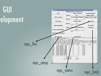#### **GUI** elopment

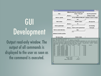#### **GUI** Development

Output read-only window. The output of all commands is displayed to the user as soon as the command is executed.

| $\mathbf{\nabla}$ Mpedequi                                                                                                                                                                                                             |                                         |                                                                                                                                                                                                                                                                                      | ×<br>5181                                               |
|----------------------------------------------------------------------------------------------------------------------------------------------------------------------------------------------------------------------------------------|-----------------------------------------|--------------------------------------------------------------------------------------------------------------------------------------------------------------------------------------------------------------------------------------------------------------------------------------|---------------------------------------------------------|
|                                                                                                                                                                                                                                        |                                         | Millipede production enviroment GUI                                                                                                                                                                                                                                                  |                                                         |
| Path:                                                                                                                                                                                                                                  |                                         | Setup a Pede job?                                                                                                                                                                                                                                                                    | mps fire parameters                                     |
|                                                                                                                                                                                                                                        | <b>Browse</b>                           | yes                                                                                                                                                                                                                                                                                  | nothing to merge                                        |
| Path to .cfg file:                                                                                                                                                                                                                     |                                         |                                                                                                                                                                                                                                                                                      | Set up additional Mille jobs? Numbers of jobs to merge: |
|                                                                                                                                                                                                                                        | <b>Browse</b>                           |                                                                                                                                                                                                                                                                                      | 11                                                      |
|                                                                                                                                                                                                                                        |                                         | yes                                                                                                                                                                                                                                                                                  |                                                         |
| Path to data:                                                                                                                                                                                                                          |                                         | Number of jobs:                                                                                                                                                                                                                                                                      | Run mps fire                                            |
|                                                                                                                                                                                                                                        | <b>Browse</b>                           | 10                                                                                                                                                                                                                                                                                   |                                                         |
| Path to pedeScript:                                                                                                                                                                                                                    |                                         | 10                                                                                                                                                                                                                                                                                   | <b>Job fetching</b>                                     |
|                                                                                                                                                                                                                                        | <b>Browse</b>                           | Batch system queue/class:                                                                                                                                                                                                                                                            | <b>Fetch jobs</b>                                       |
| Path to castor directory:                                                                                                                                                                                                              |                                         | 8nm                                                                                                                                                                                                                                                                                  |                                                         |
|                                                                                                                                                                                                                                        |                                         | 8nm                                                                                                                                                                                                                                                                                  |                                                         |
| Jobname for batch system:                                                                                                                                                                                                              |                                         |                                                                                                                                                                                                                                                                                      |                                                         |
|                                                                                                                                                                                                                                        |                                         |                                                                                                                                                                                                                                                                                      |                                                         |
| Run mps setup                                                                                                                                                                                                                          |                                         | <b>Status of jobs</b>                                                                                                                                                                                                                                                                |                                                         |
| === mps database printout ===<br>mps database schema 3.0    R. Mankel 2-Aug-2007<br>Time Mon Sep $8\sqrt{22\cdot 08\cdot 29}$ CEST 2008 elapsed 273301<br>dir.<br>###<br>iob001 8540613<br>001<br>002<br>job002 8550430<br><b>DONE</b> | jobid stat ntry rtime<br>FAIL<br>0<br>0 | Script /afs/cern.ch/user/s/sanchl/public/mpedegui/mpedegui.pl card /afs/cern.ch/<br>user/s/sanchl/public/mpedequi/perl_tab.pl_infi_/afs/cern.ch/user/s/sanchl/public<br>/mpedegui/mpedegui_alpha.pl class 8nm files driver mergeScript mssDir<br>time/evt<br>nevt<br>0,000<br>0<br>0 | update<br>remark                                        |